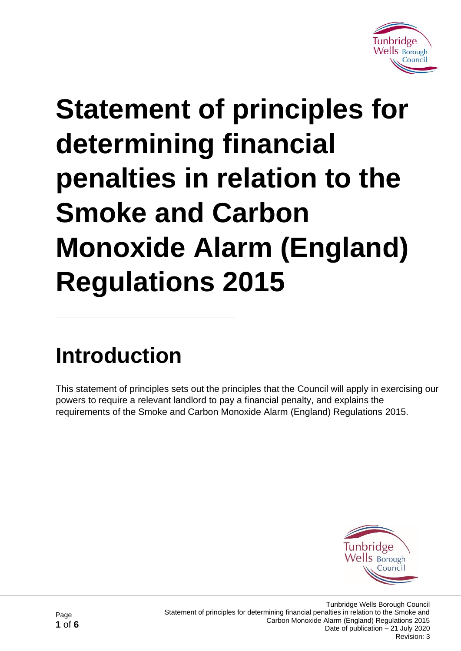

# **Statement of principles for determining financial penalties in relation to the Smoke and Carbon Monoxide Alarm (England) Regulations 2015**

### **Introduction**

This statement of principles sets out the principles that the Council will apply in exercising our powers to require a relevant landlord to pay a financial penalty, and explains the requirements of the Smoke and Carbon Monoxide Alarm (England) Regulations 2015.

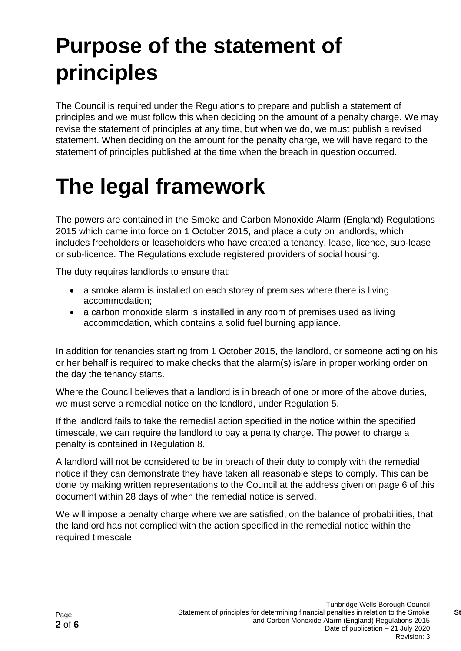# **Purpose of the statement of principles**

The Council is required under the Regulations to prepare and publish a statement of principles and we must follow this when deciding on the amount of a penalty charge. We may revise the statement of principles at any time, but when we do, we must publish a revised statement. When deciding on the amount for the penalty charge, we will have regard to the statement of principles published at the time when the breach in question occurred.

#### **The legal framework**

The powers are contained in the Smoke and Carbon Monoxide Alarm (England) Regulations 2015 which came into force on 1 October 2015, and place a duty on landlords, which includes freeholders or leaseholders who have created a tenancy, lease, licence, sub-lease or sub-licence. The Regulations exclude registered providers of social housing.

The duty requires landlords to ensure that:

- a smoke alarm is installed on each storey of premises where there is living accommodation;
- a carbon monoxide alarm is installed in any room of premises used as living accommodation, which contains a solid fuel burning appliance.

In addition for tenancies starting from 1 October 2015, the landlord, or someone acting on his or her behalf is required to make checks that the alarm(s) is/are in proper working order on the day the tenancy starts.

Where the Council believes that a landlord is in breach of one or more of the above duties, we must serve a remedial notice on the landlord, under Regulation 5.

If the landlord fails to take the remedial action specified in the notice within the specified timescale, we can require the landlord to pay a penalty charge. The power to charge a penalty is contained in Regulation 8.

A landlord will not be considered to be in breach of their duty to comply with the remedial notice if they can demonstrate they have taken all reasonable steps to comply. This can be done by making written representations to the Council at the address given on page 6 of this document within 28 days of when the remedial notice is served.

We will impose a penalty charge where we are satisfied, on the balance of probabilities, that the landlord has not complied with the action specified in the remedial notice within the required timescale.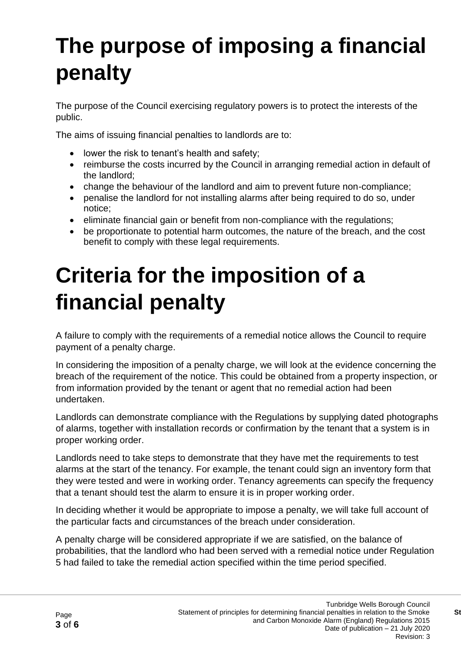# **The purpose of imposing a financial penalty**

The purpose of the Council exercising regulatory powers is to protect the interests of the public.

The aims of issuing financial penalties to landlords are to:

- lower the risk to tenant's health and safety;
- reimburse the costs incurred by the Council in arranging remedial action in default of the landlord;
- change the behaviour of the landlord and aim to prevent future non-compliance;
- penalise the landlord for not installing alarms after being required to do so, under notice;
- eliminate financial gain or benefit from non-compliance with the regulations;
- be proportionate to potential harm outcomes, the nature of the breach, and the cost benefit to comply with these legal requirements.

### **Criteria for the imposition of a financial penalty**

A failure to comply with the requirements of a remedial notice allows the Council to require payment of a penalty charge.

In considering the imposition of a penalty charge, we will look at the evidence concerning the breach of the requirement of the notice. This could be obtained from a property inspection, or from information provided by the tenant or agent that no remedial action had been undertaken.

Landlords can demonstrate compliance with the Regulations by supplying dated photographs of alarms, together with installation records or confirmation by the tenant that a system is in proper working order.

Landlords need to take steps to demonstrate that they have met the requirements to test alarms at the start of the tenancy. For example, the tenant could sign an inventory form that they were tested and were in working order. Tenancy agreements can specify the frequency that a tenant should test the alarm to ensure it is in proper working order.

In deciding whether it would be appropriate to impose a penalty, we will take full account of the particular facts and circumstances of the breach under consideration.

A penalty charge will be considered appropriate if we are satisfied, on the balance of probabilities, that the landlord who had been served with a remedial notice under Regulation 5 had failed to take the remedial action specified within the time period specified.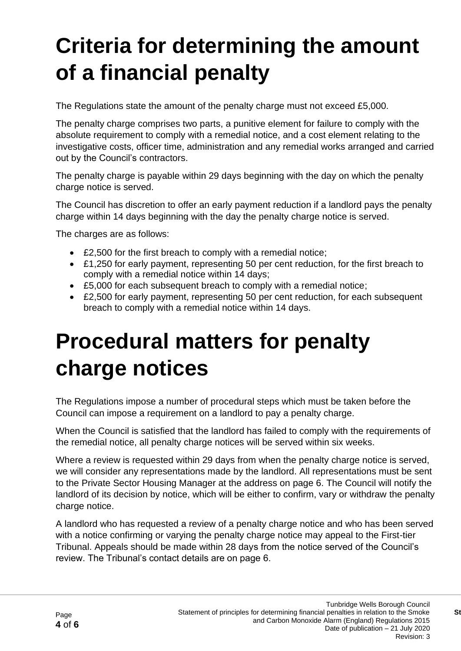# **Criteria for determining the amount of a financial penalty**

The Regulations state the amount of the penalty charge must not exceed £5,000.

The penalty charge comprises two parts, a punitive element for failure to comply with the absolute requirement to comply with a remedial notice, and a cost element relating to the investigative costs, officer time, administration and any remedial works arranged and carried out by the Council's contractors.

The penalty charge is payable within 29 days beginning with the day on which the penalty charge notice is served.

The Council has discretion to offer an early payment reduction if a landlord pays the penalty charge within 14 days beginning with the day the penalty charge notice is served.

The charges are as follows:

- £2,500 for the first breach to comply with a remedial notice;
- £1,250 for early payment, representing 50 per cent reduction, for the first breach to comply with a remedial notice within 14 days;
- £5,000 for each subsequent breach to comply with a remedial notice;
- £2,500 for early payment, representing 50 per cent reduction, for each subsequent breach to comply with a remedial notice within 14 days.

### **Procedural matters for penalty charge notices**

The Regulations impose a number of procedural steps which must be taken before the Council can impose a requirement on a landlord to pay a penalty charge.

When the Council is satisfied that the landlord has failed to comply with the requirements of the remedial notice, all penalty charge notices will be served within six weeks.

Where a review is requested within 29 days from when the penalty charge notice is served, we will consider any representations made by the landlord. All representations must be sent to the Private Sector Housing Manager at the address on page 6. The Council will notify the landlord of its decision by notice, which will be either to confirm, vary or withdraw the penalty charge notice.

A landlord who has requested a review of a penalty charge notice and who has been served with a notice confirming or varying the penalty charge notice may appeal to the First-tier Tribunal. Appeals should be made within 28 days from the notice served of the Council's review. The Tribunal's contact details are on page 6.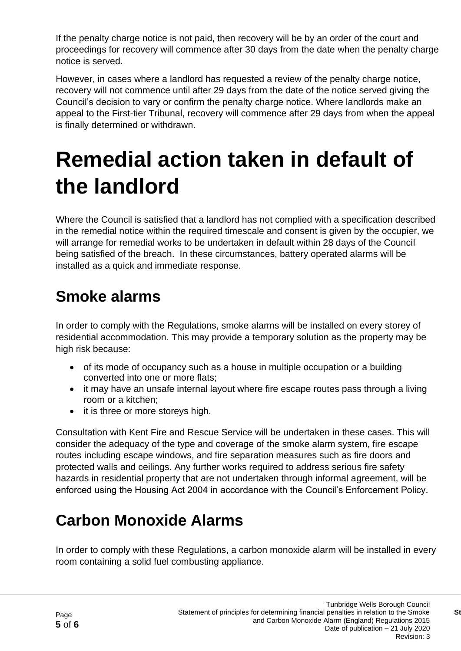If the penalty charge notice is not paid, then recovery will be by an order of the court and proceedings for recovery will commence after 30 days from the date when the penalty charge notice is served.

However, in cases where a landlord has requested a review of the penalty charge notice, recovery will not commence until after 29 days from the date of the notice served giving the Council's decision to vary or confirm the penalty charge notice. Where landlords make an appeal to the First-tier Tribunal, recovery will commence after 29 days from when the appeal is finally determined or withdrawn.

### **Remedial action taken in default of the landlord**

Where the Council is satisfied that a landlord has not complied with a specification described in the remedial notice within the required timescale and consent is given by the occupier, we will arrange for remedial works to be undertaken in default within 28 days of the Council being satisfied of the breach. In these circumstances, battery operated alarms will be installed as a quick and immediate response.

#### **Smoke alarms**

In order to comply with the Regulations, smoke alarms will be installed on every storey of residential accommodation. This may provide a temporary solution as the property may be high risk because:

- of its mode of occupancy such as a house in multiple occupation or a building converted into one or more flats;
- it may have an unsafe internal layout where fire escape routes pass through a living room or a kitchen;
- it is three or more storeys high.

Consultation with Kent Fire and Rescue Service will be undertaken in these cases. This will consider the adequacy of the type and coverage of the smoke alarm system, fire escape routes including escape windows, and fire separation measures such as fire doors and protected walls and ceilings. Any further works required to address serious fire safety hazards in residential property that are not undertaken through informal agreement, will be enforced using the Housing Act 2004 in accordance with the Council's Enforcement Policy.

#### **Carbon Monoxide Alarms**

In order to comply with these Regulations, a carbon monoxide alarm will be installed in every room containing a solid fuel combusting appliance.